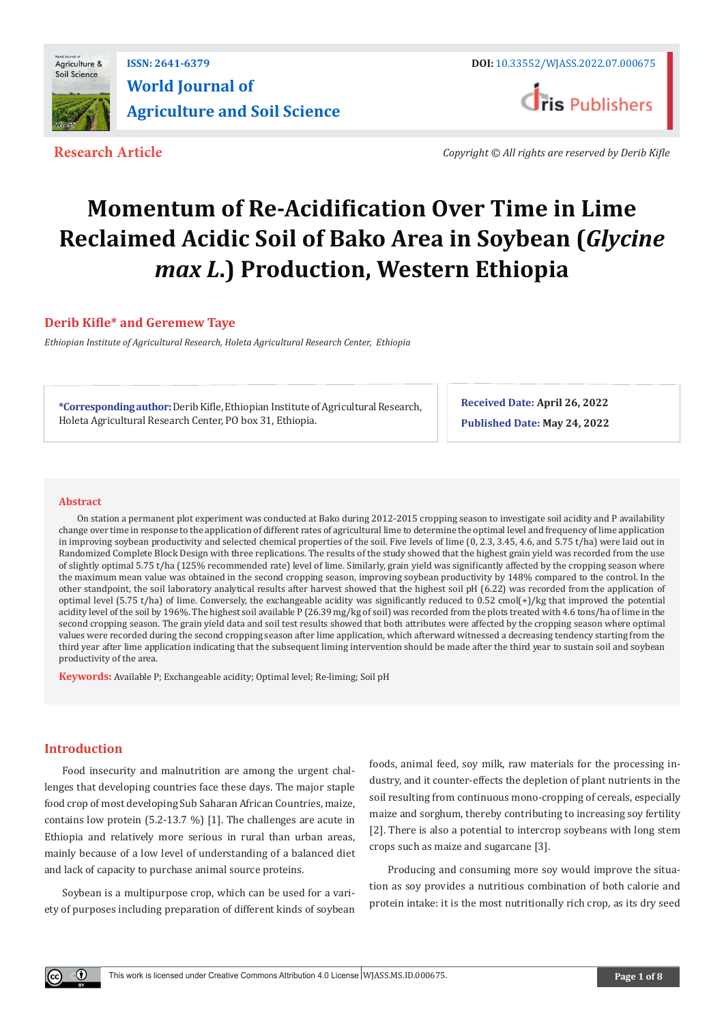

## **ISSN: 2641-6379 DOI:** [10.33552/WJASS.2022.07.000675](http://dx.doi.org/10.33552/WJASS.2022.07.000675) **World Journal of Agriculture and Soil Science**

**Research Article** *Copyright © All rights are reserved by Derib Kifle*

# **Momentum of Re-Acidification Over Time in Lime Reclaimed Acidic Soil of Bako Area in Soybean (***Glycine max L***.) Production, Western Ethiopia**

#### **Derib Kifle\* and Geremew Taye**

*Ethiopian Institute of Agricultural Research, Holeta Agricultural Research Center, Ethiopia*

**\*Corresponding author:** Derib Kifle, Ethiopian Institute of Agricultural Research, Holeta Agricultural Research Center, PO box 31, Ethiopia.

**Received Date: April 26, 2022 Published Date: May 24, 2022**

#### **Abstract**

On station a permanent plot experiment was conducted at Bako during 2012-2015 cropping season to investigate soil acidity and P availability change over time in response to the application of different rates of agricultural lime to determine the optimal level and frequency of lime application in improving soybean productivity and selected chemical properties of the soil. Five levels of lime (0, 2.3, 3.45, 4.6, and 5.75 t/ha) were laid out in Randomized Complete Block Design with three replications. The results of the study showed that the highest grain yield was recorded from the use of slightly optimal 5.75 t/ha (125% recommended rate) level of lime. Similarly, grain yield was significantly affected by the cropping season where the maximum mean value was obtained in the second cropping season, improving soybean productivity by 148% compared to the control. In the other standpoint, the soil laboratory analytical results after harvest showed that the highest soil pH (6.22) was recorded from the application of optimal level (5.75 t/ha) of lime. Conversely, the exchangeable acidity was significantly reduced to 0.52 cmol(+)/kg that improved the potential acidity level of the soil by 196%. The highest soil available P (26.39 mg/kg of soil) was recorded from the plots treated with 4.6 tons/ha of lime in the second cropping season. The grain yield data and soil test results showed that both attributes were affected by the cropping season where optimal values were recorded during the second cropping season after lime application, which afterward witnessed a decreasing tendency starting from the third year after lime application indicating that the subsequent liming intervention should be made after the third year to sustain soil and soybean productivity of the area.

**Keywords:** Available P; Exchangeable acidity; Optimal level; Re-liming; Soil pH

#### **Introduction**

Food insecurity and malnutrition are among the urgent challenges that developing countries face these days. The major staple food crop of most developing Sub Saharan African Countries, maize, contains low protein (5.2-13.7 %) [1]. The challenges are acute in Ethiopia and relatively more serious in rural than urban areas, mainly because of a low level of understanding of a balanced diet and lack of capacity to purchase animal source proteins.

Soybean is a multipurpose crop, which can be used for a variety of purposes including preparation of different kinds of soybean foods, animal feed, soy milk, raw materials for the processing industry, and it counter-effects the depletion of plant nutrients in the soil resulting from continuous mono-cropping of cereals, especially maize and sorghum, thereby contributing to increasing soy fertility [2]. There is also a potential to intercrop soybeans with long stem crops such as maize and sugarcane [3].

Producing and consuming more soy would improve the situation as soy provides a nutritious combination of both calorie and protein intake: it is the most nutritionally rich crop, as its dry seed

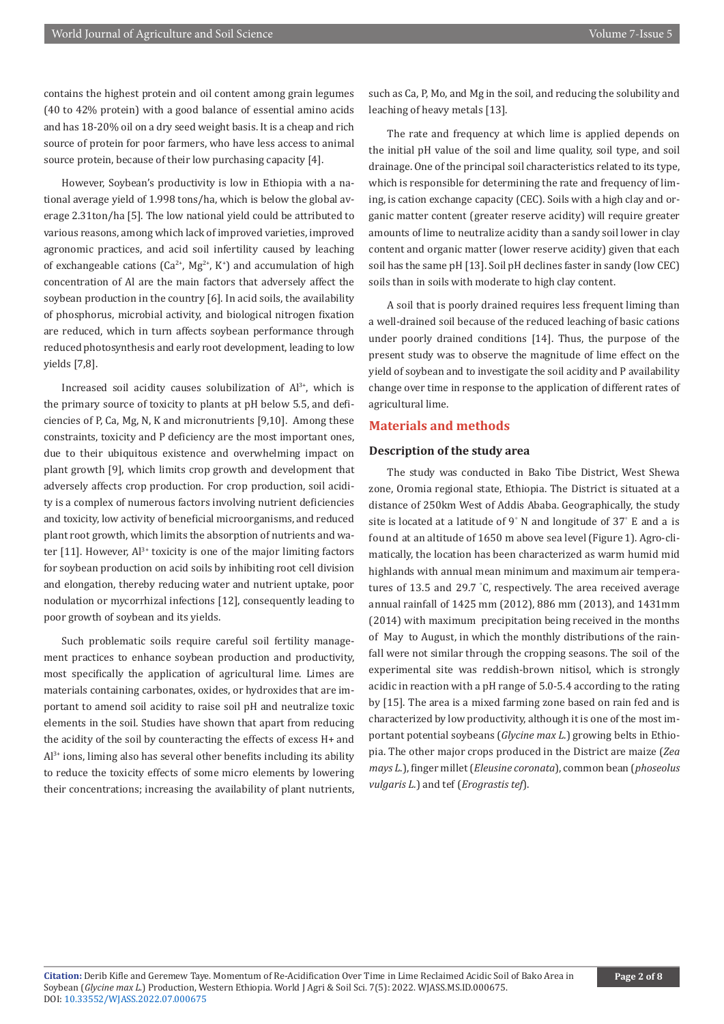contains the highest protein and oil content among grain legumes (40 to 42% protein) with a good balance of essential amino acids and has 18-20% oil on a dry seed weight basis. It is a cheap and rich source of protein for poor farmers, who have less access to animal source protein, because of their low purchasing capacity [4].

However, Soybean's productivity is low in Ethiopia with a national average yield of 1.998 tons/ha, which is below the global average 2.31ton/ha [5]. The low national yield could be attributed to various reasons, among which lack of improved varieties, improved agronomic practices, and acid soil infertility caused by leaching of exchangeable cations ( $Ca^{2+}$ ,  $Mg^{2+}$ , K<sup>+</sup>) and accumulation of high concentration of Al are the main factors that adversely affect the soybean production in the country [6]. In acid soils, the availability of phosphorus, microbial activity, and biological nitrogen fixation are reduced, which in turn affects soybean performance through reduced photosynthesis and early root development, leading to low yields [7,8].

Increased soil acidity causes solubilization of Al<sup>3+</sup>, which is the primary source of toxicity to plants at pH below 5.5, and deficiencies of P, Ca, Mg, N, K and micronutrients [9,10]. Among these constraints, toxicity and P deficiency are the most important ones, due to their ubiquitous existence and overwhelming impact on plant growth [9], which limits crop growth and development that adversely affects crop production. For crop production, soil acidity is a complex of numerous factors involving nutrient deficiencies and toxicity, low activity of beneficial microorganisms, and reduced plant root growth, which limits the absorption of nutrients and water  $[11]$ . However,  $Al^{3+}$  toxicity is one of the major limiting factors for soybean production on acid soils by inhibiting root cell division and elongation, thereby reducing water and nutrient uptake, poor nodulation or mycorrhizal infections [12], consequently leading to poor growth of soybean and its yields.

Such problematic soils require careful soil fertility management practices to enhance soybean production and productivity, most specifically the application of agricultural lime. Limes are materials containing carbonates, oxides, or hydroxides that are important to amend soil acidity to raise soil pH and neutralize toxic elements in the soil. Studies have shown that apart from reducing the acidity of the soil by counteracting the effects of excess H+ and  $Al^{3+}$  ions, liming also has several other benefits including its ability to reduce the toxicity effects of some micro elements by lowering their concentrations; increasing the availability of plant nutrients,

such as Ca, P, Mo, and Mg in the soil, and reducing the solubility and leaching of heavy metals [13].

The rate and frequency at which lime is applied depends on the initial pH value of the soil and lime quality, soil type, and soil drainage. One of the principal soil characteristics related to its type, which is responsible for determining the rate and frequency of liming, is cation exchange capacity (CEC). Soils with a high clay and organic matter content (greater reserve acidity) will require greater amounts of lime to neutralize acidity than a sandy soil lower in clay content and organic matter (lower reserve acidity) given that each soil has the same pH [13]. Soil pH declines faster in sandy (low CEC) soils than in soils with moderate to high clay content.

A soil that is poorly drained requires less frequent liming than a well-drained soil because of the reduced leaching of basic cations under poorly drained conditions [14]. Thus, the purpose of the present study was to observe the magnitude of lime effect on the yield of soybean and to investigate the soil acidity and P availability change over time in response to the application of different rates of agricultural lime.

#### **Materials and methods**

#### **Description of the study area**

The study was conducted in Bako Tibe District, West Shewa zone, Oromia regional state, Ethiopia. The District is situated at a distance of 250km West of Addis Ababa. Geographically, the study site is located at a latitude of 9° N and longitude of 37° E and a is found at an altitude of 1650 m above sea level (Figure 1). Agro-climatically, the location has been characterized as warm humid mid highlands with annual mean minimum and maximum air temperatures of 13.5 and 29.7 ° C, respectively. The area received average annual rainfall of 1425 mm (2012), 886 mm (2013), and 1431mm (2014) with maximum precipitation being received in the months of May to August, in which the monthly distributions of the rainfall were not similar through the cropping seasons. The soil of the experimental site was reddish-brown nitisol, which is strongly acidic in reaction with a pH range of 5.0-5.4 according to the rating by [15]. The area is a mixed farming zone based on rain fed and is characterized by low productivity, although it is one of the most important potential soybeans (*Glycine max L*.) growing belts in Ethiopia. The other major crops produced in the District are maize (*Zea mays L*.), finger millet (*Eleusine coronata*), common bean (*phoseolus vulgaris L.*) and tef (*Erograstis tef*).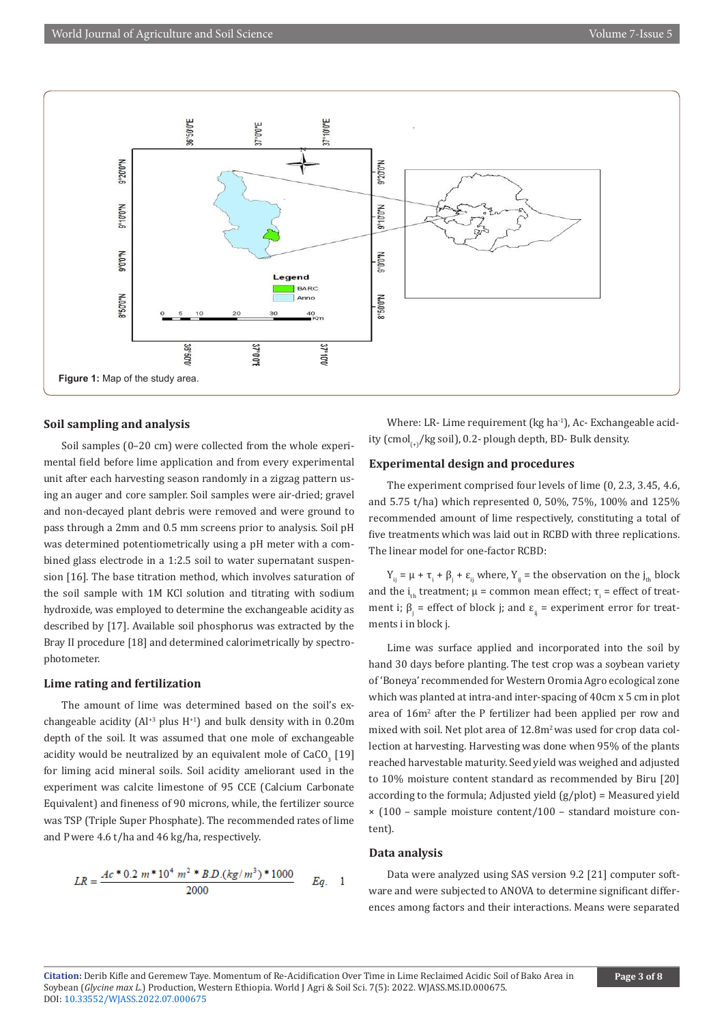

#### **Soil sampling and analysis**

Soil samples (0–20 cm) were collected from the whole experimental field before lime application and from every experimental unit after each harvesting season randomly in a zigzag pattern using an auger and core sampler. Soil samples were air-dried; gravel and non-decayed plant debris were removed and were ground to pass through a 2mm and 0.5 mm screens prior to analysis. Soil pH was determined potentiometrically using a pH meter with a combined glass electrode in a 1:2.5 soil to water supernatant suspension [16]. The base titration method, which involves saturation of the soil sample with 1M KCl solution and titrating with sodium hydroxide, was employed to determine the exchangeable acidity as described by [17]. Available soil phosphorus was extracted by the Bray II procedure [18] and determined calorimetrically by spectrophotometer.

#### **Lime rating and fertilization**

The amount of lime was determined based on the soil's exchangeable acidity ( $Al^{+3}$  plus  $H^{+1}$ ) and bulk density with in 0.20m depth of the soil. It was assumed that one mole of exchangeable acidity would be neutralized by an equivalent mole of  $\mathrm{CaCO}_{_3}$  [19] for liming acid mineral soils. Soil acidity ameliorant used in the experiment was calcite limestone of 95 CCE (Calcium Carbonate Equivalent) and fineness of 90 microns, while, the fertilizer source was TSP (Triple Super Phosphate). The recommended rates of lime and Pwere 4.6 t/ha and 46 kg/ha, respectively.

$$
LR = \frac{Ac*0.2\ m*10^4\ m^2*BD.(kg/m^3)*1000}{2000} \qquad Eq. \qquad 1
$$

Where: LR- Lime requirement (kg ha<sup>-1</sup>), Ac- Exchangeable acidity (cmol<sub>(-)</sub>/kg soil), 0.2- plough depth, BD- Bulk density.

#### **Experimental design and procedures**

The experiment comprised four levels of lime (0, 2.3, 3.45, 4.6, and 5.75 t/ha) which represented 0, 50%, 75%, 100% and 125% recommended amount of lime respectively, constituting a total of five treatments which was laid out in RCBD with three replications. The linear model for one-factor RCBD:

 $Y_{ij} = \mu + \tau_i + \beta_j + \varepsilon_{ij}$  where,  $Y_{ij}$  = the observation on the  $j_{th}$  block and the i<sub>th</sub> treatment;  $\mu$  = common mean effect;  $\tau_{\text{i}}$  = effect of treatment i;  $β<sub>j</sub>$  = effect of block j; and  $ε<sub>ij</sub>$  = experiment error for treatments i in block j.

Lime was surface applied and incorporated into the soil by hand 30 days before planting. The test crop was a soybean variety of 'Boneya' recommended for Western Oromia Agro ecological zone which was planted at intra-and inter-spacing of 40cm x 5 cm in plot area of 16m<sup>2</sup> after the P fertilizer had been applied per row and mixed with soil. Net plot area of 12.8m<sup>2</sup> was used for crop data collection at harvesting. Harvesting was done when 95% of the plants reached harvestable maturity. Seed yield was weighed and adjusted to 10% moisture content standard as recommended by Biru [20] according to the formula; Adjusted yield (g/plot) = Measured yield × (100 – sample moisture content/100 – standard moisture content).

#### **Data analysis**

Data were analyzed using SAS version 9.2 [21] computer software and were subjected to ANOVA to determine significant differences among factors and their interactions. Means were separated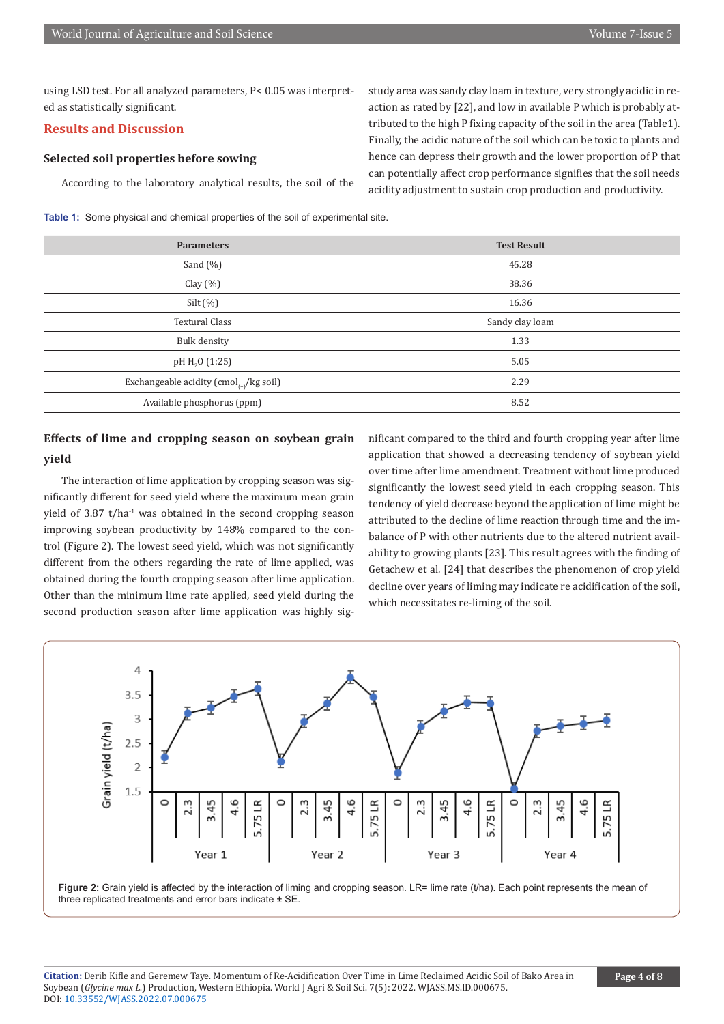using LSD test. For all analyzed parameters, P< 0.05 was interpreted as statistically significant.

#### **Results and Discussion**

**yield**

#### **Selected soil properties before sowing**

According to the laboratory analytical results, the soil of the

**Table 1:** Some physical and chemical properties of the soil of experimental site.

second production season after lime application was highly sig-

nificant compared to the third and fourth cropping year after lime application that showed a decreasing tendency of soybean yield over time after lime amendment. Treatment without lime produced significantly the lowest seed yield in each cropping season. This tendency of yield decrease beyond the application of lime might be attributed to the decline of lime reaction through time and the imbalance of P with other nutrients due to the altered nutrient availability to growing plants [23]. This result agrees with the finding of Getachew et al*.* [24] that describes the phenomenon of crop yield decline over years of liming may indicate re acidification of the soil, which necessitates re-liming of the soil.

study area was sandy clay loam in texture, very strongly acidic in reaction as rated by [22], and low in available P which is probably attributed to the high P fixing capacity of the soil in the area (Table1). Finally, the acidic nature of the soil which can be toxic to plants and hence can depress their growth and the lower proportion of P that can potentially affect crop performance signifies that the soil needs acidity adjustment to sustain crop production and productivity.





**Figure 2:** Grain yield is affected by the interaction of liming and cropping season. LR= lime rate (t/ha). Each point represents the mean of three replicated treatments and error bars indicate  $\pm$  SE

| <b>Ravie 1.</b> Opinio privation and chomical proportios of the soil of experimental site. |                                                                  |                    |
|--------------------------------------------------------------------------------------------|------------------------------------------------------------------|--------------------|
|                                                                                            | <b>Parameters</b>                                                | <b>Test Result</b> |
|                                                                                            | Sand $(\% )$                                                     | 45.28              |
|                                                                                            | Clay $(\%)$                                                      | 38.36              |
|                                                                                            | Silt $(\%)$                                                      | 16.36              |
|                                                                                            | <b>Textural Class</b>                                            | Sandy clay loam    |
|                                                                                            | Bulk density                                                     | 1.33               |
|                                                                                            | pH $H_2O(1:25)$                                                  | 5.05               |
|                                                                                            | Exchangeable acidity (cmol <sub><math>(+)</math></sub> /kg soil) | 2.29               |

Available phosphorus (ppm) 8.52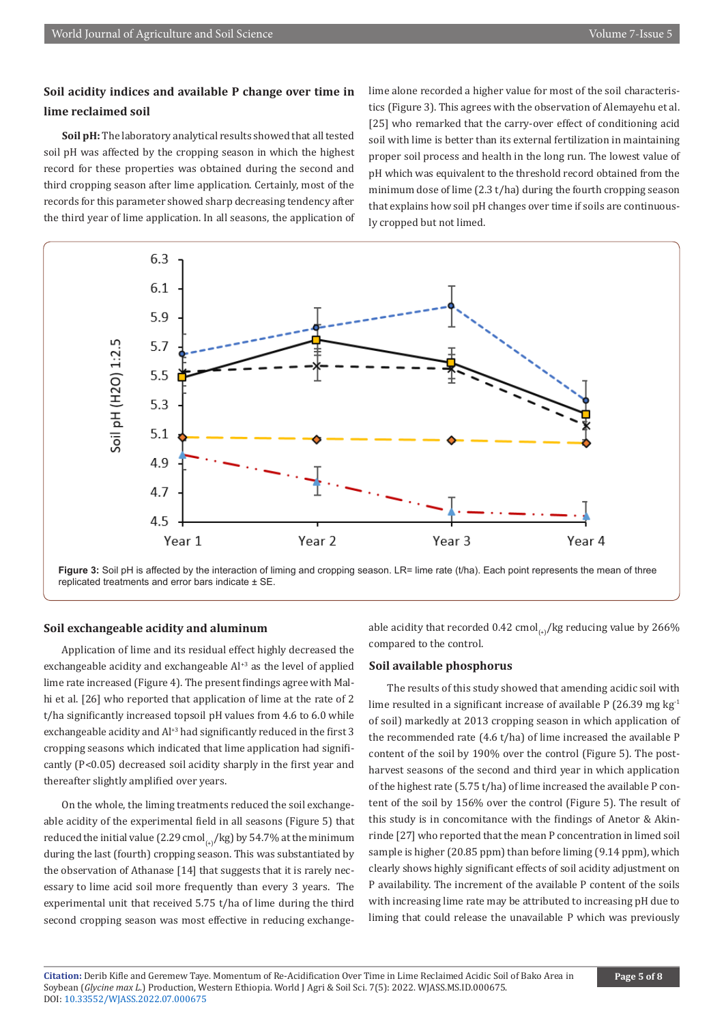### **Soil acidity indices and available P change over time in lime reclaimed soil**

**Soil pH:** The laboratory analytical results showed that all tested soil pH was affected by the cropping season in which the highest record for these properties was obtained during the second and third cropping season after lime application. Certainly, most of the records for this parameter showed sharp decreasing tendency after the third year of lime application. In all seasons, the application of lime alone recorded a higher value for most of the soil characteristics (Figure 3). This agrees with the observation of Alemayehu et al. [25] who remarked that the carry-over effect of conditioning acid soil with lime is better than its external fertilization in maintaining proper soil process and health in the long run. The lowest value of pH which was equivalent to the threshold record obtained from the minimum dose of lime (2.3 t/ha) during the fourth cropping season that explains how soil pH changes over time if soils are continuously cropped but not limed.



**Figure 3:** Soil pH is affected by the interaction of liming and cropping season. LR= lime rate (t/ha). Each point represents the mean of three replicated treatments and error bars indicate ± SE.

#### **Soil exchangeable acidity and aluminum**

Application of lime and its residual effect highly decreased the exchangeable acidity and exchangeable  $Al^{+3}$  as the level of applied lime rate increased (Figure 4). The present findings agree with Malhi et al. [26] who reported that application of lime at the rate of 2 t/ha significantly increased topsoil pH values from 4.6 to 6.0 while exchangeable acidity and Al<sup>+3</sup> had significantly reduced in the first 3 cropping seasons which indicated that lime application had significantly (P<0.05) decreased soil acidity sharply in the first year and thereafter slightly amplified over years.

On the whole, the liming treatments reduced the soil exchangeable acidity of the experimental field in all seasons (Figure 5) that reduced the initial value (2.29 cmol<sub>(+)</sub>/kg) by 54.7% at the minimum during the last (fourth) cropping season. This was substantiated by the observation of Athanase [14] that suggests that it is rarely necessary to lime acid soil more frequently than every 3 years. The experimental unit that received 5.75 t/ha of lime during the third second cropping season was most effective in reducing exchangeable acidity that recorded 0.42 cmol<sub>(+)</sub>/kg reducing value by 266% compared to the control.

#### **Soil available phosphorus**

The results of this study showed that amending acidic soil with lime resulted in a significant increase of available P (26.39 mg  $kg<sup>-1</sup>$ of soil) markedly at 2013 cropping season in which application of the recommended rate (4.6 t/ha) of lime increased the available P content of the soil by 190% over the control (Figure 5). The postharvest seasons of the second and third year in which application of the highest rate (5.75 t/ha) of lime increased the available P content of the soil by 156% over the control (Figure 5). The result of this study is in concomitance with the findings of Anetor & Akinrinde [27] who reported that the mean P concentration in limed soil sample is higher (20.85 ppm) than before liming (9.14 ppm), which clearly shows highly significant effects of soil acidity adjustment on P availability. The increment of the available P content of the soils with increasing lime rate may be attributed to increasing pH due to liming that could release the unavailable P which was previously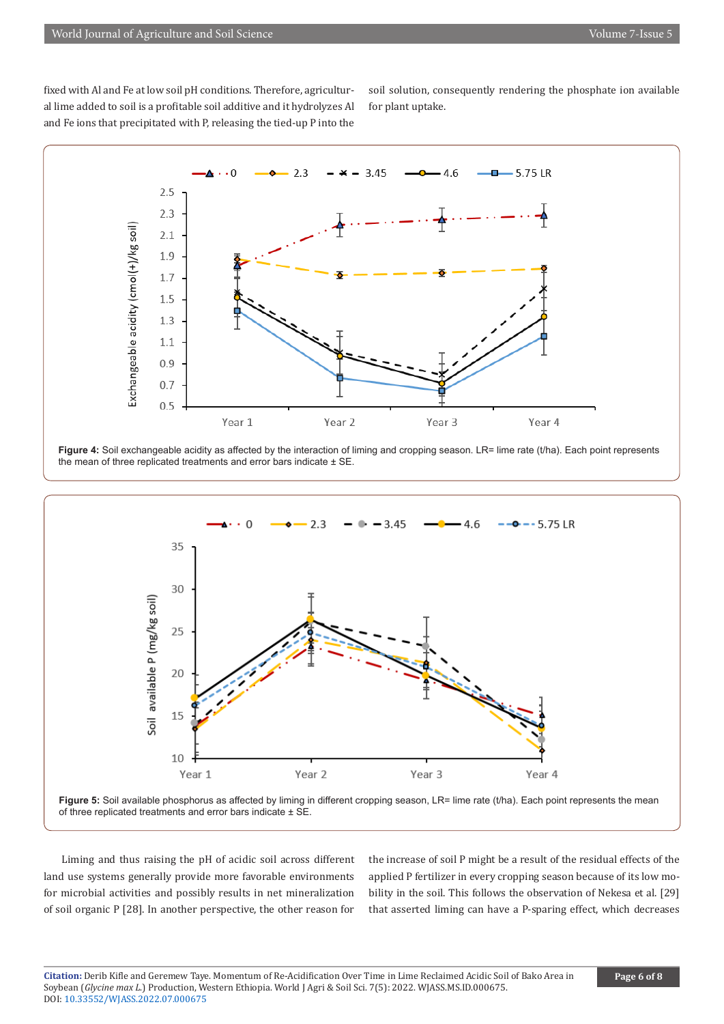fixed with Al and Fe at low soil pH conditions. Therefore, agricultural lime added to soil is a profitable soil additive and it hydrolyzes Al and Fe ions that precipitated with P, releasing the tied-up P into the

soil solution, consequently rendering the phosphate ion available for plant uptake.









Liming and thus raising the pH of acidic soil across different land use systems generally provide more favorable environments for microbial activities and possibly results in net mineralization of soil organic P [28]. In another perspective, the other reason for

the increase of soil P might be a result of the residual effects of the applied P fertilizer in every cropping season because of its low mobility in the soil. This follows the observation of Nekesa et al. [29] that asserted liming can have a P-sparing effect, which decreases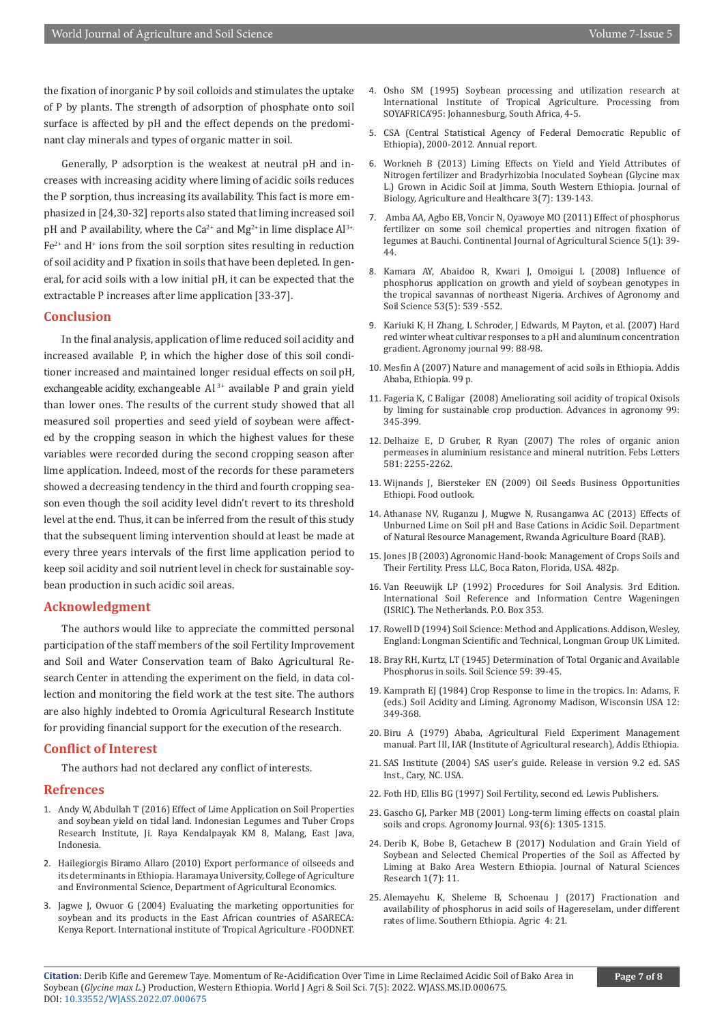the fixation of inorganic P by soil colloids and stimulates the uptake of P by plants. The strength of adsorption of phosphate onto soil surface is affected by pH and the effect depends on the predominant clay minerals and types of organic matter in soil.

Generally, P adsorption is the weakest at neutral pH and increases with increasing acidity where liming of acidic soils reduces the P sorption, thus increasing its availability. This fact is more emphasized in [24,30-32] reports also stated that liming increased soil pH and P availability, where the  $Ca^{2+}$  and  $Mg^{2+}$  in lime displace  $Al^{3+}$ ,  $Fe<sup>2+</sup>$  and  $H<sup>+</sup>$  ions from the soil sorption sites resulting in reduction of soil acidity and P fixation in soils that have been depleted. In general, for acid soils with a low initial pH, it can be expected that the extractable P increases after lime application [33-37].

#### **Conclusion**

In the final analysis, application of lime reduced soil acidity and increased available P, in which the higher dose of this soil conditioner increased and maintained longer residual effects on soil pH, exchangeable acidity, exchangeable  $Al^{3+}$  available P and grain yield than lower ones. The results of the current study showed that all measured soil properties and seed yield of soybean were affected by the cropping season in which the highest values for these variables were recorded during the second cropping season after lime application. Indeed, most of the records for these parameters showed a decreasing tendency in the third and fourth cropping season even though the soil acidity level didn't revert to its threshold level at the end. Thus, it can be inferred from the result of this study that the subsequent liming intervention should at least be made at every three years intervals of the first lime application period to keep soil acidity and soil nutrient level in check for sustainable soybean production in such acidic soil areas.

#### **Acknowledgment**

The authors would like to appreciate the committed personal participation of the staff members of the soil Fertility Improvement and Soil and Water Conservation team of Bako Agricultural Research Center in attending the experiment on the field, in data collection and monitoring the field work at the test site. The authors are also highly indebted to Oromia Agricultural Research Institute for providing financial support for the execution of the research.

#### **Conflict of Interest**

The authors had not declared any conflict of interests.

#### **Refrences**

- 1. Andy W, Abdullah T (2016) [Effect of Lime Application on Soil Properties](https://agrivita.ub.ac.id/index.php/agrivita/article/view/683)  [and soybean yield on tidal land. Indonesian Legumes and Tuber Crops](https://agrivita.ub.ac.id/index.php/agrivita/article/view/683)  [Research Institute, Ji. Raya Kendalpayak KM 8, Malang, East Java,](https://agrivita.ub.ac.id/index.php/agrivita/article/view/683)  [Indonesia.](https://agrivita.ub.ac.id/index.php/agrivita/article/view/683)
- 2. [Hailegiorgis Biramo Allaro \(2010\) Export performance of oilseeds and](http://article.sapub.org/10.5923.j.economics.20110101.01.html)  [its determinants in Ethiopia. Haramaya University, College of Agriculture](http://article.sapub.org/10.5923.j.economics.20110101.01.html)  [and Environmental Science, Department of Agricultural Economics.](http://article.sapub.org/10.5923.j.economics.20110101.01.html)
- 3. [Jagwe J, Owuor G \(2004\) Evaluating the marketing opportunities for](https://cgspace.cgiar.org/bitstream/handle/10568/96347/U04RepSpilsburyEvaluatingNothomNodev.pdf?sequence=1)  [soybean and its products in the East African countries of ASARECA:](https://cgspace.cgiar.org/bitstream/handle/10568/96347/U04RepSpilsburyEvaluatingNothomNodev.pdf?sequence=1)  [Kenya Report. International institute of Tropical Agriculture -FOODNET.](https://cgspace.cgiar.org/bitstream/handle/10568/96347/U04RepSpilsburyEvaluatingNothomNodev.pdf?sequence=1)
- 4. [Osho SM \(1995\) Soybean processing and utilization research at](https://www.iita.org/cropsnew/soybean-3/) [International Institute of Tropical Agriculture. Processing from](https://www.iita.org/cropsnew/soybean-3/) [SOYAFRICA'95: Johannesburg, South Africa, 4-5.](https://www.iita.org/cropsnew/soybean-3/)
- 5. CSA (Central Statistical Agency of Federal Democratic Republic of Ethiopia), 2000-2012. Annual report.
- 6. Workneh B (2013) Liming Effects on Yield and Yield Attributes of Nitrogen fertilizer and Bradyrhizobia Inoculated Soybean (Glycine max L.) Grown in Acidic Soil at Jimma, South Western Ethiopia. Journal of Biology, Agriculture and Healthcare 3(7): 139-143.
- 7. [Amba AA, Agbo EB, Voncir N, Oyawoye MO \(2011\) Effect of phosphorus](https://archive.org/details/EffectOfPhosphorusFertilizerOnSomeSoilChemicalPropertiesAndNitrogenc) [fertilizer on some soil chemical properties and nitrogen fixation of](https://archive.org/details/EffectOfPhosphorusFertilizerOnSomeSoilChemicalPropertiesAndNitrogenc) [legumes at Bauchi. Continental Journal of Agricultural Science 5\(1\): 39-](https://archive.org/details/EffectOfPhosphorusFertilizerOnSomeSoilChemicalPropertiesAndNitrogenc) [44.](https://archive.org/details/EffectOfPhosphorusFertilizerOnSomeSoilChemicalPropertiesAndNitrogenc)
- 8. [Kamara AY, Abaidoo R, Kwari J, Omoigui L \(2008\) Influence of](https://cgspace.cgiar.org/handle/10568/92218?show=full) [phosphorus application on growth and yield of soybean genotypes in](https://cgspace.cgiar.org/handle/10568/92218?show=full) [the tropical savannas of northeast Nigeria. Archives of Agronomy and](https://cgspace.cgiar.org/handle/10568/92218?show=full) [Soil Science 53\(5\): 539 -552.](https://cgspace.cgiar.org/handle/10568/92218?show=full)
- 9. [Kariuki K, H Zhang, L Schroder, J Edwards, M Payton, et al. \(2007\) Hard](https://acsess.onlinelibrary.wiley.com/doi/abs/10.2134/agronj2006.0128) [red winter wheat cultivar responses to a pH and aluminum concentration](https://acsess.onlinelibrary.wiley.com/doi/abs/10.2134/agronj2006.0128) [gradient. Agronomy journal 99: 88-98.](https://acsess.onlinelibrary.wiley.com/doi/abs/10.2134/agronj2006.0128)
- 10. [Mesfin A \(2007\) Nature and management of acid soils in Ethiopia. Addis](https://www.semanticscholar.org/paper/NATURE-AND-MANAGEMENT-OF-ACID-SOILS-IN-ETHIOPIA-Abebe/9ae40ed218dbbc96f583522169e4b7dc9526f855) [Ababa, Ethiopia. 99 p.](https://www.semanticscholar.org/paper/NATURE-AND-MANAGEMENT-OF-ACID-SOILS-IN-ETHIOPIA-Abebe/9ae40ed218dbbc96f583522169e4b7dc9526f855)
- 11. [Fageria K, C Baligar \(2008\) Ameliorating soil acidity of tropical Oxisols](https://pubag.nal.usda.gov/catalog/3565545) [by liming for sustainable crop production. Advances in agronomy 99:](https://pubag.nal.usda.gov/catalog/3565545) [345-399.](https://pubag.nal.usda.gov/catalog/3565545)
- 12. [Delhaize E, D Gruber, R Ryan \(2007\) The roles of organic anion](https://pubmed.ncbi.nlm.nih.gov/17418140/) [permeases in aluminium resistance and mineral nutrition. Febs Letters](https://pubmed.ncbi.nlm.nih.gov/17418140/) [581: 2255-2262.](https://pubmed.ncbi.nlm.nih.gov/17418140/)
- 13. [Wijnands J, Biersteker EN \(2009\) Oil Seeds Business Opportunities](https://www.fao.org/sustainable-food-value-chains/library/details/en/c/246722/) [Ethiopi. Food outlook.](https://www.fao.org/sustainable-food-value-chains/library/details/en/c/246722/)
- 14. [Athanase NV, Ruganzu J, Mugwe N, Rusanganwa AC \(2013\) Effects of](https://www.hindawi.com/journals/isrn/2013/707569/) [Unburned Lime on Soil pH and Base Cations in Acidic Soil. Department](https://www.hindawi.com/journals/isrn/2013/707569/) [of Natural Resource Management, Rwanda Agriculture Board \(RAB\).](https://www.hindawi.com/journals/isrn/2013/707569/)
- 15. [Jones JB \(2003\) Agronomic Hand-book: Management of Crops Soils and](https://www.amazon.in/Agronomic-Handbook-Management-Crops-Fertility/dp/0849308976) [Their Fertility. Press LLC, Boca Raton, Florida, USA. 482p.](https://www.amazon.in/Agronomic-Handbook-Management-Crops-Fertility/dp/0849308976)
- 16. Van Reeuwijk LP (1992) Procedures for Soil Analysis. 3rd Edition. International Soil Reference and Information Centre Wageningen (ISRIC). The Netherlands. P.O. Box 353.
- 17. [Rowell D \(1994\) Soil Science: Method and Applications. Addison, Wesley,](https://onlinelibrary.wiley.com/doi/abs/10.1002/jsfa.2740660423) [England: Longman Scientific and Technical, Longman Group UK Limited.](https://onlinelibrary.wiley.com/doi/abs/10.1002/jsfa.2740660423)
- 18. [Bray RH, Kurtz, LT \(1945\) Determination of Total Organic and Available](https://journals.lww.com/soilsci/Citation/1945/01000/Determination_of_Total,_Organic,_and_Available.6.aspx) [Phosphorus in soils. Soil Science 59: 39-45](https://journals.lww.com/soilsci/Citation/1945/01000/Determination_of_Total,_Organic,_and_Available.6.aspx).
- 19. [Kamprath EJ \(1984\) Crop Response to lime in the tropics. In: Adams, F.](https://acsess.onlinelibrary.wiley.com/doi/abs/10.2134/agronmonogr12.2ed.c9) [\(eds.\) Soil Acidity and Liming. Agronomy Madison, Wisconsin USA 12:](https://acsess.onlinelibrary.wiley.com/doi/abs/10.2134/agronmonogr12.2ed.c9) [349-368.](https://acsess.onlinelibrary.wiley.com/doi/abs/10.2134/agronmonogr12.2ed.c9)
- 20. Biru A (1979) Ababa, Agricultural Field Experiment Management manual. Part III, IAR (Institute of Agricultural research), Addis Ethiopia.
- 21. [SAS Institute \(2004\) SAS user's guide. Release in version 9.2 ed. SAS](https://datajobs.com/data-science-repo/SAS-Stat-Guide-%5bSAS-Institute%5d.pdf) [Inst., Cary, NC. USA.](https://datajobs.com/data-science-repo/SAS-Stat-Guide-%5bSAS-Institute%5d.pdf)
- 22. Foth HD, Ellis BG (1997) Soil Fertility, second ed. Lewis Publishers.
- 23. Gascho GJ, Parker MB (2001) Long-term liming effects on coastal plain soils and crops. Agronomy Journal. 93(6): 1305-1315.
- 24. [Derib K, Bobe B, Getachew B \(2017\) Nodulation and Grain Yield of](https://www.semanticscholar.org/paper/Nodulation-and-Grain-Yield-of-Soybean-and-Selected-Kifle/a85162f5822bb3fa930c57d058c67ab9a6b59bbb) [Soybean and Selected Chemical Properties of the Soil as Affected by](https://www.semanticscholar.org/paper/Nodulation-and-Grain-Yield-of-Soybean-and-Selected-Kifle/a85162f5822bb3fa930c57d058c67ab9a6b59bbb) [Liming at Bako Area Western Ethiopia. Journal of Natural Sciences](https://www.semanticscholar.org/paper/Nodulation-and-Grain-Yield-of-Soybean-and-Selected-Kifle/a85162f5822bb3fa930c57d058c67ab9a6b59bbb) [Research 1\(7\): 11.](https://www.semanticscholar.org/paper/Nodulation-and-Grain-Yield-of-Soybean-and-Selected-Kifle/a85162f5822bb3fa930c57d058c67ab9a6b59bbb)
- 25. [Alemayehu K, Sheleme B, Schoenau J \(2017\) Fractionation and](https://chembioagro.springeropen.com/articles/10.1186/s40538-017-0105-9) [availability of phosphorus in acid soils of Hagereselam, under different](https://chembioagro.springeropen.com/articles/10.1186/s40538-017-0105-9) [rates of lime. Southern Ethiopia. Agric 4: 21](https://chembioagro.springeropen.com/articles/10.1186/s40538-017-0105-9).